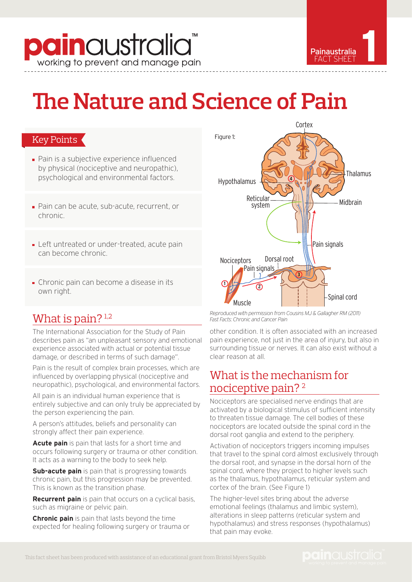## **pain**australia working to prevent and manage pain



# **The Nature and Science of Pain**

### Key Points

- **Pain is a subjective experience influenced** by physical (nociceptive and neuropathic), psychological and environmental factors.
- Pain can be acute, sub-acute, recurrent, or chronic.
- **Left untreated or under-treated, acute pain** can become chronic.
- Chronic pain can become a disease in its own right.

## What is pain?<sup>1,2</sup>

The International Association for the Study of Pain describes pain as "an unpleasant sensory and emotional experience associated with actual or potential tissue damage, or described in terms of such damage".

Pain is the result of complex brain processes, which are influenced by overlapping physical (nociceptive and neuropathic), psychological, and environmental factors.

All pain is an individual human experience that is entirely subjective and can only truly be appreciated by the person experiencing the pain.

A person's attitudes, beliefs and personality can strongly affect their pain experience.

**Acute pain** is pain that lasts for a short time and occurs following surgery or trauma or other condition. It acts as a warning to the body to seek help.

**Sub-acute pain** is pain that is progressing towards chronic pain, but this progression may be prevented. This is known as the transition phase.

**Recurrent pain** is pain that occurs on a cyclical basis, such as migraine or pelvic pain.

**Chronic pain** is pain that lasts beyond the time expected for healing following surgery or trauma or



*Reproduced with permission from Cousins MJ & Gallagher RM (2011) Fast Facts: Chronic and Cancer Pain*

other condition. It is often associated with an increased pain experience, not just in the area of injury, but also in surrounding tissue or nerves. It can also exist without a clear reason at all.

## What is the mechanism for nociceptive pain? 2

Nociceptors are specialised nerve endings that are activated by a biological stimulus of sufficient intensity to threaten tissue damage. The cell bodies of these nociceptors are located outside the spinal cord in the dorsal root ganglia and extend to the periphery.

Activation of nociceptors triggers incoming impulses that travel to the spinal cord almost exclusively through the dorsal root, and synapse in the dorsal horn of the spinal cord, where they project to higher levels such as the thalamus, hypothalamus, reticular system and cortex of the brain. (See Figure 1)

The higher-level sites bring about the adverse emotional feelings (thalamus and limbic system), alterations in sleep patterns (reticular system and hypothalamus) and stress responses (hypothalamus) that pain may evoke.